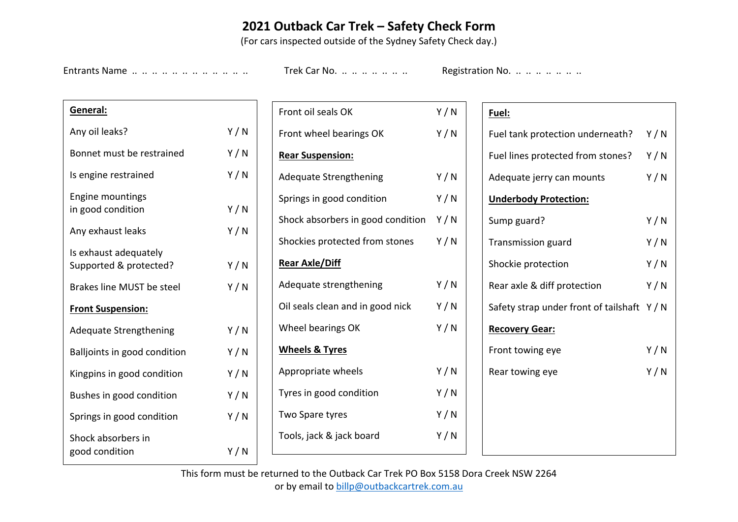## **2021 Outback Car Trek – Safety Check Form**

(For cars inspected outside of the Sydney Safety Check day.)

Entrants Name .. .. .. .. .. .. .. .. .. .. .. Trek Car No. .. .. .. .. .. .. .. Registration No. .. .. .. .. .. ..

| General:                                        |     |  |  |  |  |  |
|-------------------------------------------------|-----|--|--|--|--|--|
| Any oil leaks?                                  | Y/N |  |  |  |  |  |
| Bonnet must be restrained                       | Y/N |  |  |  |  |  |
| Is engine restrained                            | Y/N |  |  |  |  |  |
| <b>Engine mountings</b><br>in good condition    | Y/N |  |  |  |  |  |
| Any exhaust leaks                               | Y/N |  |  |  |  |  |
| Is exhaust adequately<br>Supported & protected? | Y/N |  |  |  |  |  |
| <b>Brakes line MUST be steel</b>                | Y/N |  |  |  |  |  |
| <b>Front Suspension:</b>                        |     |  |  |  |  |  |
| <b>Adequate Strengthening</b>                   | Y/N |  |  |  |  |  |
| Balljoints in good condition                    | Y/N |  |  |  |  |  |
| Kingpins in good condition                      | Y/N |  |  |  |  |  |
| Bushes in good condition                        | Y/N |  |  |  |  |  |
| Springs in good condition                       | Y/N |  |  |  |  |  |
| Shock absorbers in<br>good condition            | Y/N |  |  |  |  |  |

| Front oil seals OK                      | Y/N |
|-----------------------------------------|-----|
| Front wheel bearings OK                 | Y/N |
| <b>Rear Suspension:</b>                 |     |
| <b>Adequate Strengthening</b>           | Y/N |
| Springs in good condition               | Y/N |
| Shock absorbers in good condition $Y/N$ |     |
| Shockies protected from stones          | Y/N |
| <u>Rear Axle/Diff</u>                   |     |
| Adequate strengthening                  | Y/N |
| Oil seals clean and in good nick        | Y/N |
| Wheel bearings OK                       | Y/N |
| <u>Wheels &amp; Tyres</u>               |     |
| Appropriate wheels                      | Y/N |
| Tyres in good condition                 | Y/N |
| Two Spare tyres                         | Y/N |
| Tools, jack & jack board                | Y/N |
|                                         |     |

## **Fuel:**

| Fuel tank protection underneath?            | Y/N |
|---------------------------------------------|-----|
| Fuel lines protected from stones?           | Y/N |
| Adequate jerry can mounts                   | Y/N |
| <b>Underbody Protection:</b>                |     |
| Sump guard?                                 | Y/N |
| <b>Transmission guard</b>                   | Y/N |
| Shockie protection                          | Y/N |
| Rear axle & diff protection                 | Y/N |
| Safety strap under front of tailshaft $Y/N$ |     |
| <b>Recovery Gear:</b>                       |     |
| Front towing eye                            | Y/N |
| Rear towing eye                             | Y/N |
|                                             |     |
|                                             |     |
|                                             |     |
|                                             |     |

This form must be returned to the Outback Car Trek PO Box 5158 Dora Creek NSW 2264 or by email to billp@outbackcartrek.com.au